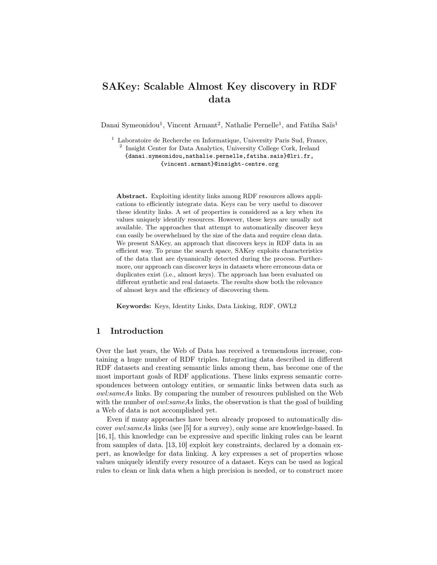# SAKey: Scalable Almost Key discovery in RDF data

Danai Symeonidou<sup>1</sup>, Vincent Armant<sup>2</sup>, Nathalie Pernelle<sup>1</sup>, and Fatiha Saïs<sup>1</sup>

<sup>1</sup> Laboratoire de Recherche en Informatique, University Paris Sud, France, <sup>2</sup> Insight Center for Data Analytics, University College Cork, Ireland {danai.symeonidou,nathalie.pernelle,fatiha.sais}@lri.fr,

{vincent.armant}@insight-centre.org

Abstract. Exploiting identity links among RDF resources allows applications to efficiently integrate data. Keys can be very useful to discover these identity links. A set of properties is considered as a key when its values uniquely identify resources. However, these keys are usually not available. The approaches that attempt to automatically discover keys can easily be overwhelmed by the size of the data and require clean data. We present SAKey, an approach that discovers keys in RDF data in an efficient way. To prune the search space, SAKey exploits characteristics of the data that are dynamically detected during the process. Furthermore, our approach can discover keys in datasets where erroneous data or duplicates exist (i.e., almost keys). The approach has been evaluated on different synthetic and real datasets. The results show both the relevance of almost keys and the efficiency of discovering them.

Keywords: Keys, Identity Links, Data Linking, RDF, OWL2

# 1 Introduction

Over the last years, the Web of Data has received a tremendous increase, containing a huge number of RDF triples. Integrating data described in different RDF datasets and creating semantic links among them, has become one of the most important goals of RDF applications. These links express semantic correspondences between ontology entities, or semantic links between data such as owl:sameAs links. By comparing the number of resources published on the Web with the number of *owl:sameAs* links, the observation is that the goal of building a Web of data is not accomplished yet.

Even if many approaches have been already proposed to automatically discover owl:sameAs links (see [5] for a survey), only some are knowledge-based. In [16, 1], this knowledge can be expressive and specific linking rules can be learnt from samples of data. [13, 10] exploit key constraints, declared by a domain expert, as knowledge for data linking. A key expresses a set of properties whose values uniquely identify every resource of a dataset. Keys can be used as logical rules to clean or link data when a high precision is needed, or to construct more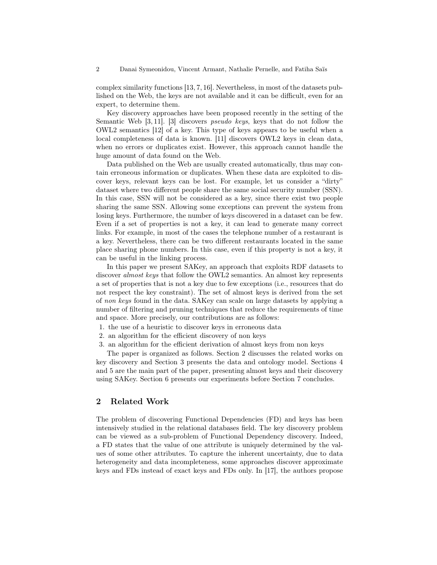complex similarity functions [13, 7, 16]. Nevertheless, in most of the datasets published on the Web, the keys are not available and it can be difficult, even for an expert, to determine them.

Key discovery approaches have been proposed recently in the setting of the Semantic Web [3, 11]. [3] discovers pseudo keys, keys that do not follow the OWL2 semantics [12] of a key. This type of keys appears to be useful when a local completeness of data is known. [11] discovers OWL2 keys in clean data, when no errors or duplicates exist. However, this approach cannot handle the huge amount of data found on the Web.

Data published on the Web are usually created automatically, thus may contain erroneous information or duplicates. When these data are exploited to discover keys, relevant keys can be lost. For example, let us consider a "dirty" dataset where two different people share the same social security number (SSN). In this case, SSN will not be considered as a key, since there exist two people sharing the same SSN. Allowing some exceptions can prevent the system from losing keys. Furthermore, the number of keys discovered in a dataset can be few. Even if a set of properties is not a key, it can lead to generate many correct links. For example, in most of the cases the telephone number of a restaurant is a key. Nevertheless, there can be two different restaurants located in the same place sharing phone numbers. In this case, even if this property is not a key, it can be useful in the linking process.

In this paper we present SAKey, an approach that exploits RDF datasets to discover almost keys that follow the OWL2 semantics. An almost key represents a set of properties that is not a key due to few exceptions (i.e., resources that do not respect the key constraint). The set of almost keys is derived from the set of non keys found in the data. SAKey can scale on large datasets by applying a number of filtering and pruning techniques that reduce the requirements of time and space. More precisely, our contributions are as follows:

- 1. the use of a heuristic to discover keys in erroneous data
- 2. an algorithm for the efficient discovery of non keys
- 3. an algorithm for the efficient derivation of almost keys from non keys

The paper is organized as follows. Section 2 discusses the related works on key discovery and Section 3 presents the data and ontology model. Sections 4 and 5 are the main part of the paper, presenting almost keys and their discovery using SAKey. Section 6 presents our experiments before Section 7 concludes.

# 2 Related Work

The problem of discovering Functional Dependencies (FD) and keys has been intensively studied in the relational databases field. The key discovery problem can be viewed as a sub-problem of Functional Dependency discovery. Indeed, a FD states that the value of one attribute is uniquely determined by the values of some other attributes. To capture the inherent uncertainty, due to data heterogeneity and data incompleteness, some approaches discover approximate keys and FDs instead of exact keys and FDs only. In [17], the authors propose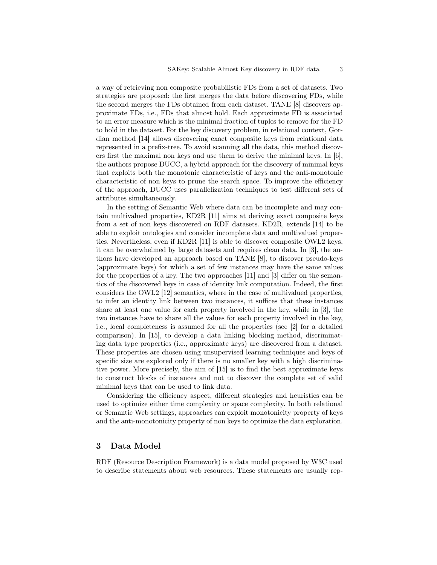a way of retrieving non composite probabilistic FDs from a set of datasets. Two strategies are proposed: the first merges the data before discovering FDs, while the second merges the FDs obtained from each dataset. TANE [8] discovers approximate FDs, i.e., FDs that almost hold. Each approximate FD is associated to an error measure which is the minimal fraction of tuples to remove for the FD to hold in the dataset. For the key discovery problem, in relational context, Gordian method [14] allows discovering exact composite keys from relational data represented in a prefix-tree. To avoid scanning all the data, this method discovers first the maximal non keys and use them to derive the minimal keys. In [6], the authors propose DUCC, a hybrid approach for the discovery of minimal keys that exploits both the monotonic characteristic of keys and the anti-monotonic characteristic of non keys to prune the search space. To improve the efficiency of the approach, DUCC uses parallelization techniques to test different sets of attributes simultaneously.

In the setting of Semantic Web where data can be incomplete and may contain multivalued properties, KD2R [11] aims at deriving exact composite keys from a set of non keys discovered on RDF datasets. KD2R, extends [14] to be able to exploit ontologies and consider incomplete data and multivalued properties. Nevertheless, even if KD2R [11] is able to discover composite OWL2 keys, it can be overwhelmed by large datasets and requires clean data. In [3], the authors have developed an approach based on TANE [8], to discover pseudo-keys (approximate keys) for which a set of few instances may have the same values for the properties of a key. The two approaches [11] and [3] differ on the semantics of the discovered keys in case of identity link computation. Indeed, the first considers the OWL2 [12] semantics, where in the case of multivalued properties, to infer an identity link between two instances, it suffices that these instances share at least one value for each property involved in the key, while in [3], the two instances have to share all the values for each property involved in the key, i.e., local completeness is assumed for all the properties (see [2] for a detailed comparison). In [15], to develop a data linking blocking method, discriminating data type properties (i.e., approximate keys) are discovered from a dataset. These properties are chosen using unsupervised learning techniques and keys of specific size are explored only if there is no smaller key with a high discriminative power. More precisely, the aim of [15] is to find the best approximate keys to construct blocks of instances and not to discover the complete set of valid minimal keys that can be used to link data.

Considering the efficiency aspect, different strategies and heuristics can be used to optimize either time complexity or space complexity. In both relational or Semantic Web settings, approaches can exploit monotonicity property of keys and the anti-monotonicity property of non keys to optimize the data exploration.

# 3 Data Model

RDF (Resource Description Framework) is a data model proposed by W3C used to describe statements about web resources. These statements are usually rep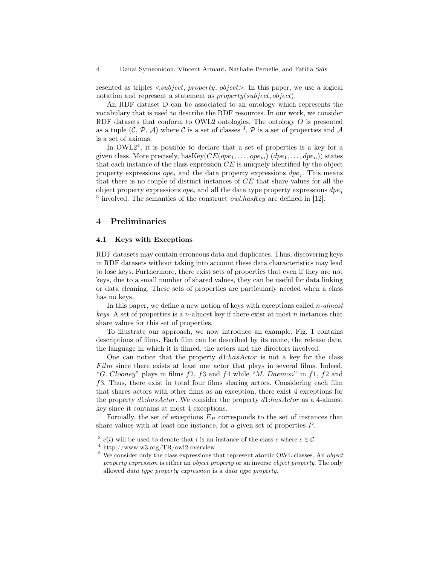resented as triples  $\langle subject, property, object \rangle$ . In this paper, we use a logical notation and represent a statement as *property(subject, object)*.

An RDF dataset D can be associated to an ontology which represents the vocabulary that is used to describe the RDF resources. In our work, we consider RDF datasets that conform to OWL2 ontologies. The ontology  $O$  is presented as a tuple  $(C, \mathcal{P}, \mathcal{A})$  where C is a set of classes <sup>3</sup>,  $\mathcal{P}$  is a set of properties and  $\mathcal{A}$ is a set of axioms.

In  $\text{OWL2}^4$ , it is possible to declare that a set of properties is a key for a given class. More precisely, has  $Key(CE(op_{1}, \ldots, op_{m})$   $(dp_{1}, \ldots, dp_{n})$  states that each instance of the class expression  $CE$  is uniquely identified by the object property expressions  $ope_i$  and the data property expressions  $\text{d}pe_i$ . This means that there is no couple of distinct instances of CE that share values for all the object property expressions  $ope_i$  and all the data type property expressions  $\text{d}pe_i$ <sup>5</sup> involved. The semantics of the construct *owl:hasKey* are defined in [12].

### 4 Preliminaries

### 4.1 Keys with Exceptions

RDF datasets may contain erroneous data and duplicates. Thus, discovering keys in RDF datasets without taking into account these data characteristics may lead to lose keys. Furthermore, there exist sets of properties that even if they are not keys, due to a small number of shared values, they can be useful for data linking or data cleaning. These sets of properties are particularly needed when a class has no keys.

In this paper, we define a new notion of keys with exceptions called  $n$ -almost keys. A set of properties is a *n*-almost key if there exist at most *n* instances that share values for this set of properties.

To illustrate our approach, we now introduce an example. Fig. 1 contains descriptions of films. Each film can be described by its name, the release date, the language in which it is filmed, the actors and the directors involved.

One can notice that the property  $d1:hasActor$  is not a key for the class  $Film$  since there exists at least one actor that plays in several films. Indeed, "G. Clooney" plays in films  $f2$ ,  $f3$  and  $f4$  while "M. Daemon" in  $f1$ ,  $f2$  and f3. Thus, there exist in total four films sharing actors. Considering each film that shares actors with other films as an exception, there exist 4 exceptions for the property d1:hasActor. We consider the property d1:hasActor as a 4-almost key since it contains at most 4 exceptions.

Formally, the set of exceptions  $E_P$  corresponds to the set of instances that share values with at least one instance, for a given set of properties  $P$ .

<sup>&</sup>lt;sup>3</sup>  $c(i)$  will be used to denote that *i* is an instance of the class *c* where  $c \in \mathcal{C}$ 

<sup>4</sup> http://www.w3.org/TR/owl2-overview

<sup>&</sup>lt;sup>5</sup> We consider only the class expressions that represent atomic OWL classes. An *object* property expression is either an object property or an inverse object property. The only allowed data type property expression is a data type property.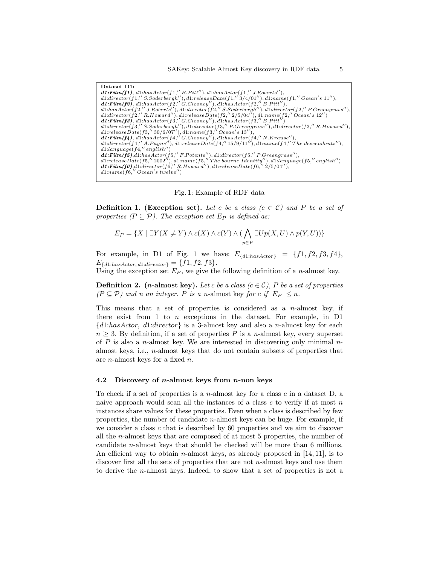```
Dataset D1:
d1: Film(f1), d1: has Actor(f1," B.Pitt"), d1: has Actor(f1," J. Roberts"),d1:director(f1," S.Soderbergh"), d1:releaseDate(f1,"3/4/01"), d1:name(f1," Ocean's 11"),<br>d1:Film(f2), d1:hasActor(f2," G.Clooney"), d1:hasActor(f2," B.Pitt"),
d1: has Actor(f2," J. Roberts''), d1: director(f2," S. Soderberg h''), d1: director(f2," P. Greengrass''), d1: director(f2," R. Howard''), d1: release Date(f2," 2/5/04''), d1: name(f2," Ocean's 12'')\nd1: Film(f3), d1: has Actor(f3," G. Clooney''), d1: has Actor(f3," B. Pitt')\nd1: director(f3," S. Soderberg h''), d1: director(f3," R. Howard''), d1: are least <math display="inline">Delta(f3," 30/6/07''), d1: name(f3," Ocean's 13''), d1: directed set Date(f3," 30/6/07''), d1: name(f3," Ocean's 1d1: director(f4,'' A.Payne''), d1: releaseDate(f4,' ' 15/9/11''), d1: name(f4,' 'The descendants''),d1: language(f4,''english'') \d1: Finally (f5), d1: has Actor(f5,'F.Potente''), d1: director(f5,''P.Greengrass''), d1: FileaseDate(f5,'') and (f5,'C002''), d1: and (f5,'The bounce Identity''), d1: language(f5,'' english'') \d1: Figure(f6), d1: directed, (f6,'Ccean's twelve'') \d1: name(f6,'Ccean's twelve'')
```
### Fig. 1: Example of RDF data

**Definition 1.** (Exception set). Let c be a class  $(c \in C)$  and P be a set of properties  $(P \subseteq P)$ . The exception set  $E_P$  is defined as:

$$
E_P = \{ X \mid \exists Y (X \neq Y) \land c(X) \land c(Y) \land (\bigwedge_{p \in P} \exists Up(X, U) \land p(Y, U)) \}
$$

For example, in D1 of Fig. 1 we have:  $E_{\{d1:hasActor\}} = \{f1, f2, f3, f4\},\$  $E_{\{d1:has Actor, d1:director\}} = \{f1, f2, f3\}.$ 

Using the exception set  $E_P$ , we give the following definition of a *n*-almost key.

**Definition 2.** (*n*-almost key). Let c be a class ( $c \in C$ ), P be a set of properties  $(P \subseteq P)$  and n an integer. P is a n-almost key for c if  $|E_P| \leq n$ .

This means that a set of properties is considered as a  $n$ -almost key, if there exist from 1 to  $n$  exceptions in the dataset. For example, in D1  ${d1:has Actor, d1:directory}$  is a 3-almost key and also a *n*-almost key for each  $n \geq 3$ . By definition, if a set of properties P is a n-almost key, every superset of P is also a n-almost key. We are interested in discovering only minimal  $n$ almost keys, i.e., n-almost keys that do not contain subsets of properties that are n-almost keys for a fixed n.

### 4.2 Discovery of *n*-almost keys from *n*-non keys

To check if a set of properties is a *n*-almost key for a class  $c$  in a dataset D, a naive approach would scan all the instances of a class c to verify if at most  $n$ instances share values for these properties. Even when a class is described by few properties, the number of candidate  $n$ -almost keys can be huge. For example, if we consider a class  $c$  that is described by 60 properties and we aim to discover all the n-almost keys that are composed of at most 5 properties, the number of candidate n-almost keys that should be checked will be more than 6 millions. An efficient way to obtain *n*-almost keys, as already proposed in [14, 11], is to discover first all the sets of properties that are not  $n$ -almost keys and use them to derive the n-almost keys. Indeed, to show that a set of properties is not a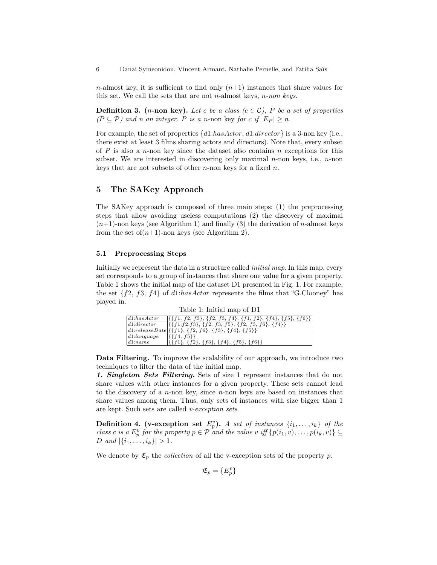n-almost key, it is sufficient to find only  $(n+1)$  instances that share values for this set. We call the sets that are not *n*-almost keys, *n-non keys*.

**Definition 3.** (*n*-non key). Let c be a class ( $c \in C$ ), P be a set of properties  $(P \subseteq P)$  and n an integer. P is a n-non key for c if  $|E_P| \ge n$ .

For example, the set of properties  $\{d1:hasActor, d1:director\}$  is a 3-non key (i.e., there exist at least 3 films sharing actors and directors). Note that, every subset of P is also a n-non key since the dataset also contains n exceptions for this subset. We are interested in discovering only maximal  $n$ -non keys, i.e.,  $n$ -non keys that are not subsets of other  $n$ -non keys for a fixed  $n$ .

# 5 The SAKey Approach

The SAKey approach is composed of three main steps: (1) the preprocessing steps that allow avoiding useless computations (2) the discovery of maximal  $(n+1)$ -non keys (see Algorithm 1) and finally (3) the derivation of *n*-almost keys from the set of  $(n+1)$ -non keys (see Algorithm 2).

#### 5.1 Preprocessing Steps

Initially we represent the data in a structure called initial map. In this map, every set corresponds to a group of instances that share one value for a given property. Table 1 shows the initial map of the dataset D1 presented in Fig. 1. For example, the set  $\{f2, f3, f4\}$  of  $d1:hasActor$  represents the films that "G.Clooney" has played in.

| d1: has Actor | $\vert \{ \{f1, f2, f3\}, \{f2, f3, f4\}, \{f1, f2\}, \{f4\}, \{f5\}, \{f6\} \} \vert$ |
|---------------|----------------------------------------------------------------------------------------|
| d1: director  | $\{\{f1,f2,f3\},\{f2,f3,f5\},\{f2,f3,f6\},\{f4\}\}\$                                   |
|               | $ d1: releaseDate \$ {f1}, {f2, f6}, {f3}, {f4}, {f5}}                                 |
| d1:language   | $\{\{f4, f5\}\}\$                                                                      |
| d1:name       | $\{\{f1\},\{f2\},\{f3\},\{f4\},\{f5\},\{f6\}\}\$                                       |

Table 1: Initial map of D1

Data Filtering. To improve the scalability of our approach, we introduce two techniques to filter the data of the initial map.

1. Singleton Sets Filtering. Sets of size 1 represent instances that do not share values with other instances for a given property. These sets cannot lead to the discovery of a  $n$ -non key, since  $n$ -non keys are based on instances that share values among them. Thus, only sets of instances with size bigger than 1 are kept. Such sets are called v-exception sets.

**Definition 4.** (v-exception set  $E_p^v$ ). A set of instances  $\{i_1, \ldots, i_k\}$  of the class c is a  $E_p^v$  for the property  $p \in \mathcal{P}$  and the value v iff  $\{p(i_1, v), \ldots, p(i_k, v)\} \subseteq$ D and  $|\{i_1, \ldots, i_k\}| > 1$ .

We denote by  $\mathfrak{E}_p$  the *collection* of all the v-exception sets of the property p.

 $\mathfrak{E}_p = \{E^v_p\}$ 

|   | ٠<br>٦ |    |   |
|---|--------|----|---|
|   |        |    |   |
|   |        |    |   |
| × |        | ۰, | I |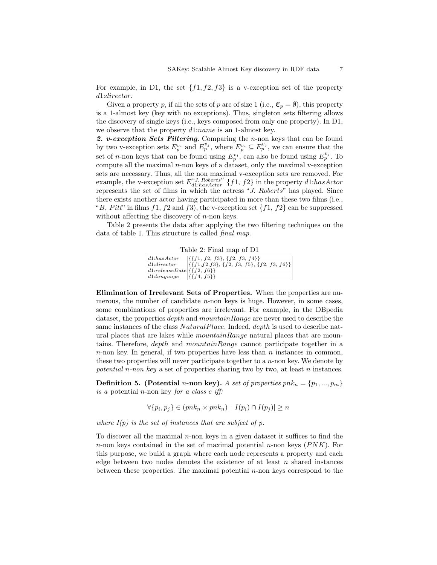For example, in D1, the set  $\{f1, f2, f3\}$  is a v-exception set of the property d1:director.

Given a property p, if all the sets of p are of size 1 (i.e.,  $\mathfrak{E}_p = \emptyset$ ), this property is a 1-almost key (key with no exceptions). Thus, singleton sets filtering allows the discovery of single keys (i.e., keys composed from only one property). In D1, we observe that the property d1:name is an 1-almost key.

2. v-exception Sets Filtering. Comparing the *n*-non keys that can be found by two v-exception sets  $E_p^{v_i}$  and  $E_p^{v_j}$ , where  $E_p^{v_i} \subseteq E_p^{v_j}$ , we can ensure that the set of *n*-non keys that can be found using  $E_p^{v_i}$ , can also be found using  $E_p^{v_j}$ . To compute all the maximal  $n$ -non keys of a dataset, only the maximal v-exception sets are necessary. Thus, all the non maximal v-exception sets are removed. For example, the v-exception set  $E_{d1:hasActor}^{sJ. \; Roberts''}$  {f1, f2} in the property d1:hasActor represents the set of films in which the actress "J. Roberts" has played. Since there exists another actor having participated in more than these two films (i.e., "B, Pitt" in films  $f1, f2$  and  $f3$ ), the v-exception set  $\{f1, f2\}$  can be suppressed without affecting the discovery of  $n$ -non keys.

Table 2 presents the data after applying the two filtering techniques on the data of table 1. This structure is called final map.

Table 2: Final map of D1

| d1: has Actor                       | $\{\{f1, f2, f3\}, \{f2, f3, f4\}\}\$                                          |
|-------------------------------------|--------------------------------------------------------------------------------|
| d1:director                         | $\{\{f1,f2,f3\},\{f2,f3,\overline{f5}\},\{f2,\overline{f3},\overline{f6}\}\}\$ |
| $d1: releaseDate   \{ f2, f6 \} \}$ |                                                                                |
| $d1:$ language                      | $\{\{f4, f5\}\}\$                                                              |

Elimination of Irrelevant Sets of Properties. When the properties are numerous, the number of candidate *n*-non keys is huge. However, in some cases, some combinations of properties are irrelevant. For example, in the DBpedia dataset, the properties *depth* and *mountainRange* are never used to describe the same instances of the class NaturalPlace. Indeed, depth is used to describe natural places that are lakes while *mountainRange* natural places that are mountains. Therefore, depth and mountainRange cannot participate together in a  $n$ -non key. In general, if two properties have less than  $n$  instances in common, these two properties will never participate together to a  $n$ -non key. We denote by potential n-non key a set of properties sharing two by two, at least n instances.

**Definition 5.** (Potential *n*-non key). A set of properties  $pnk_n = \{p_1, ..., p_m\}$ is a potential *n*-non key for a class c iff:

$$
\forall \{p_i, p_j\} \in (pnk_n \times pnk_n) \mid I(p_i) \cap I(p_j)| \ge n
$$

where  $I(p)$  is the set of instances that are subject of p.

To discover all the maximal  $n$ -non keys in a given dataset it suffices to find the n-non keys contained in the set of maximal potential n-non keys  $(PNK)$ . For this purpose, we build a graph where each node represents a property and each edge between two nodes denotes the existence of at least  $n$  shared instances between these properties. The maximal potential  $n$ -non keys correspond to the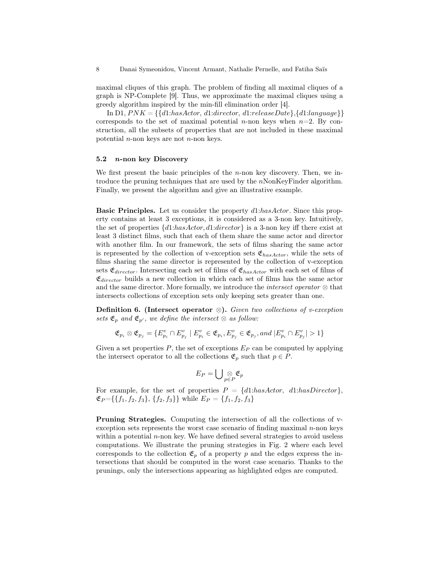maximal cliques of this graph. The problem of finding all maximal cliques of a graph is NP-Complete [9]. Thus, we approximate the maximal cliques using a greedy algorithm inspired by the min-fill elimination order [4].

In D1,  $PNK = \{\{d1: has Actor, d1: director, d1: releaseDate\}, \{d1: language\}\}\$ corresponds to the set of maximal potential *n*-non keys when  $n=2$ . By construction, all the subsets of properties that are not included in these maximal potential  $n$ -non keys are not  $n$ -non keys.

#### 5.2 n-non key Discovery

We first present the basic principles of the  $n$ -non key discovery. Then, we introduce the pruning techniques that are used by the  $n$ NonKeyFinder algorithm. Finally, we present the algorithm and give an illustrative example.

Basic Principles. Let us consider the property d1:hasActor. Since this property contains at least 3 exceptions, it is considered as a 3-non key. Intuitively, the set of properties  $\{d1:hasActor, d1:director\}$  is a 3-non key iff there exist at least 3 distinct films, such that each of them share the same actor and director with another film. In our framework, the sets of films sharing the same actor is represented by the collection of v-exception sets  $\mathfrak{E}_{hasActor}$ , while the sets of films sharing the same director is represented by the collection of v-exception sets  $\mathfrak{E}_{\textit{directory}}.$  Intersecting each set of films of  $\mathfrak{E}_{\textit{hasAction}}$  with each set of films of  $\mathfrak{E}_{\text{directory}}$  builds a new collection in which each set of films has the same actor and the same director. More formally, we introduce the *intersect operator*  $\otimes$  that intersects collections of exception sets only keeping sets greater than one.

**Definition 6.** (Intersect operator  $\otimes$ ). Given two collections of v-exception sets  $\mathfrak{E}_p$  and  $\mathfrak{E}_{p'}$ , we define the intersect  $\otimes$  as follow:

$$
\mathfrak{E}_{p_i}\otimes \mathfrak{E}_{p_j}=\{E^v_{p_i}\cap E^v_{p_j}\mid E^v_{p_i}\in \mathfrak{E}_{p_i}, E^v_{p_j}\in \mathfrak{E}_{p_j}, and \,|E^v_{p_i}\cap E^v_{p_j}|>1\}
$$

Given a set properties  $P$ , the set of exceptions  $E_P$  can be computed by applying the intersect operator to all the collections  $\mathfrak{E}_p$  such that  $p \in P$ .

$$
E_P=\bigcup\nolimits_{p\in P} \mathfrak{E}_p
$$

For example, for the set of properties  $P = \{d1: has Actor, d1:hasDirector\},\$  $\mathfrak{E}_P = \{\{f_1, f_2, f_3\}, \{f_2, f_3\}\}\$  while  $E_P = \{f_1, f_2, f_3\}$ 

Pruning Strategies. Computing the intersection of all the collections of vexception sets represents the worst case scenario of finding maximal  $n$ -non keys within a potential  $n$ -non key. We have defined several strategies to avoid useless computations. We illustrate the pruning strategies in Fig. 2 where each level corresponds to the collection  $\mathfrak{E}_p$  of a property p and the edges express the intersections that should be computed in the worst case scenario. Thanks to the prunings, only the intersections appearing as highlighted edges are computed.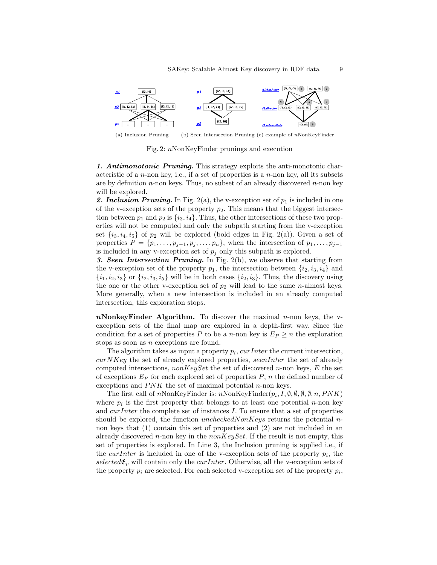

(a) Inclusion Pruning (b) Seen Intersection Pruning (c) example of nNonKeyFinder

Fig. 2: nNonKeyFinder prunings and execution

1. Antimonotonic Pruning. This strategy exploits the anti-monotonic characteristic of a n-non key, i.e., if a set of properties is a n-non key, all its subsets are by definition  $n$ -non keys. Thus, no subset of an already discovered  $n$ -non key will be explored.

2. Inclusion Pruning. In Fig. 2(a), the v-exception set of  $p_1$  is included in one of the v-exception sets of the property  $p_2$ . This means that the biggest intersection between  $p_1$  and  $p_2$  is  $\{i_3, i_4\}$ . Thus, the other intersections of these two properties will not be computed and only the subpath starting from the v-exception set  $\{i_3, i_4, i_5\}$  of  $p_2$  will be explored (bold edges in Fig. 2(a)). Given a set of properties  $P = \{p_1, \ldots, p_{j-1}, p_j, \ldots, p_n\}$ , when the intersection of  $p_1, \ldots, p_{j-1}$ is included in any v-exception set of  $p_i$  only this subpath is explored.

3. Seen Intersection Pruning. In Fig. 2(b), we observe that starting from the v-exception set of the property  $p_1$ , the intersection between  $\{i_2, i_3, i_4\}$  and  $\{i_1, i_2, i_3\}$  or  $\{i_2, i_3, i_5\}$  will be in both cases  $\{i_2, i_3\}$ . Thus, the discovery using the one or the other v-exception set of  $p_2$  will lead to the same *n*-almost keys. More generally, when a new intersection is included in an already computed intersection, this exploration stops.

nNonkeyFinder Algorithm. To discover the maximal n-non keys, the vexception sets of the final map are explored in a depth-first way. Since the condition for a set of properties P to be a n-non key is  $E_P \ge n$  the exploration stops as soon as n exceptions are found.

The algorithm takes as input a property  $p_i$ ,  $\textit{curl}$  the current intersection,  $curNKey$  the set of already explored properties, seenInter the set of already computed intersections,  $nonKeySet$  the set of discovered n-non keys,  $E$  the set of exceptions  $E_P$  for each explored set of properties  $P$ , n the defined number of exceptions and  $PNK$  the set of maximal potential *n*-non keys.

The first call of  $n$ NonKeyFinder is:  $n$ NonKeyFinder $(p_i, I, \emptyset, \emptyset, \emptyset, \emptyset, n, PNK)$ where  $p_i$  is the first property that belongs to at least one potential *n*-non key and curInter the complete set of instances I. To ensure that a set of properties should be explored, the function unchecked NonKeys returns the potential nnon keys that (1) contain this set of properties and (2) are not included in an already discovered *n*-non key in the *nonKeySet*. If the result is not empty, this set of properties is explored. In Line 3, the Inclusion pruning is applied i.e., if the *curInter* is included in one of the v-exception sets of the property  $p_i$ , the selected $\mathfrak{E}_p$  will contain only the *curInter*. Otherwise, all the v-exception sets of the property  $p_i$  are selected. For each selected v-exception set of the property  $p_i$ ,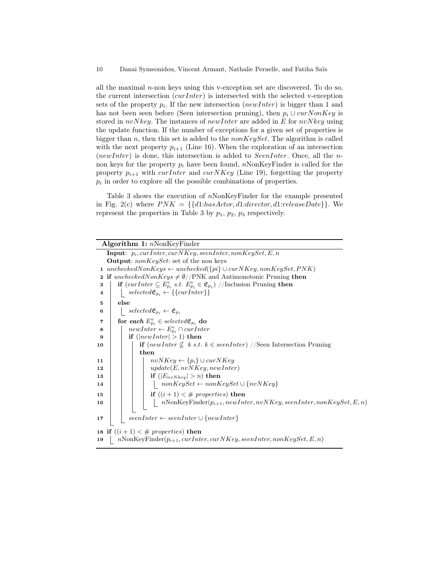all the maximal  $n$ -non keys using this v-exception set are discovered. To do so, the current intersection (curInter) is intersected with the selected v-exception sets of the property  $p_i$ . If the new intersection (*newInter*) is bigger than 1 and has not been seen before (Seen intersection pruning), then  $p_i \cup curNonKey$  is stored in  $nvNkey$ . The instances of  $newInter$  are added in E for  $nvNkey$  using the update function. If the number of exceptions for a given set of properties is bigger than n, then this set is added to the  $nonKeySet$ . The algorithm is called with the next property  $p_{i+1}$  (Line 16). When the exploration of an intersection (newInter) is done, this intersection is added to SeenInter. Once, all the nnon keys for the property  $p_i$  have been found,  $n$ NonKeyFinder is called for the property  $p_{i+1}$  with *curInter* and *curNKey* (Line 19), forgetting the property  $p_i$  in order to explore all the possible combinations of properties.

Table 3 shows the execution of nNonKeyFinder for the example presented in Fig. 2(c) where  $PNK = \{\{d1: has Actor, d1: director, d1: releaseDate\}\}\.$  We represent the properties in Table 3 by  $p_1$ ,  $p_2$ ,  $p_3$  respectively.

| Algorithm 1: $n$ NonKeyFinder                                                                                                                                    |
|------------------------------------------------------------------------------------------------------------------------------------------------------------------|
| <b>Input</b> : $p_i, \text{curl}$ nter, $\text{curl}$ Key, seenInter, nonKeySet, E, n                                                                            |
| <b>Output:</b> $nonKeySet$ : set of the non keys                                                                                                                 |
| 1 uncheckedNonKeys $\leftarrow$ unchecked({pi} $\cup$ curNKey, nonKeySet, PNK)                                                                                   |
| <b>2 if</b> unchecked NonKeys $\neq \emptyset$ / PNK and Antimonotonic Pruning then                                                                              |
| <b>if</b> $\left(\text{curl}\text{ }n\text{ }t\text{ }e\subseteq E_{p_i}^v \text{ } s.t. E_{p_i}^v \in \mathfrak{E}_{p_i}\right) //$ Inclusion Pruning then<br>3 |
| selected $\mathfrak{E}_{p_i} \leftarrow \{\{currInter\}\}\$<br>$\overline{4}$                                                                                    |
| else<br>5                                                                                                                                                        |
| $\vert \quad selected \mathfrak{E}_{p_i} \leftarrow \mathfrak{E}_{p_i}$<br>6                                                                                     |
| for each $E_{p_i}^v \in selected \mathfrak{E}_{p_i}$ do<br>7                                                                                                     |
| $newInter \leftarrow E_{p_i}^v \cap curl\$ nter<br>8                                                                                                             |
| if $( newInter  > 1)$ then<br>9                                                                                                                                  |
| <b>if</b> $(newInter \nsubseteq k s.t. k \in seenInter) // Seen Intersection Pruning$<br>10                                                                      |
| then                                                                                                                                                             |
| $nvNKey \leftarrow \{p_i\} \cup curNKey$<br>11                                                                                                                   |
| update(E, nvNKey, newInter)<br>12                                                                                                                                |
| if $( E_{nvNkey}  > n)$ then<br>13                                                                                                                               |
| $\begin{aligned} \mid \quad nonKeySet \leftarrow nonKeySet \cup \{nvNKey\} \end{aligned}$<br>14                                                                  |
| if $((i+1) < #$ properties) then<br>15                                                                                                                           |
| $n$ NonKeyFinder $(p_{i+1}, newInter, nvKey, seenInter, nonKeySet, E, n)$<br>16                                                                                  |
| ${seenInter} \leftarrow {seenInter} \cup \{newInter\}$<br>17                                                                                                     |
|                                                                                                                                                                  |
| 18 if $((i+1) < \text{\# properties})$ then                                                                                                                      |
| $n$ NonKeyFinder $(p_{i+1}, \text{curl}$ nter, $\text{curl}$ Key, seenInter, nonKeySet, E, n)<br>19                                                              |
|                                                                                                                                                                  |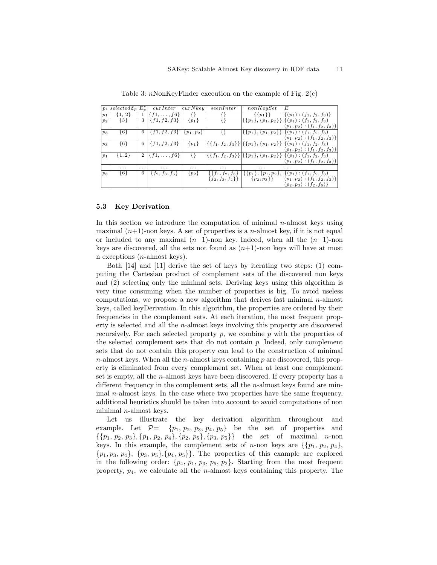| $p_i$          | $selected {\mathfrak E}_n$ | $E_n^v$        | $\frac{curInter}{}$  | $curN$ <sub>key</sub> | seenInter               | nonKeySet         | E                                                                                     |
|----------------|----------------------------|----------------|----------------------|-----------------------|-------------------------|-------------------|---------------------------------------------------------------------------------------|
| p <sub>1</sub> | $\{1, 2\}$                 |                | ${f1, \ldots, f6}$   |                       |                         | $\{\{p_1\}\}\$    | $\{(p_1):(f_1,f_2,f_3)\}\$                                                            |
| $p_2$          | {3}                        | 3              | $\{f1, f2, f3\}$     | $\{p_1\}$             |                         |                   | $\{\{p_1\}, \{p_1, p_2\}\}\$ $\{\{p_1\} : (f_1, f_2, f_3)\}$                          |
|                |                            |                |                      |                       |                         |                   | $(p_1, p_2) : (f_1, f_2, f_3)$                                                        |
| $p_3$          | ${6}$                      | 6              | $\{f1, f2, f3\}$     | $\{p_1,p_2\}$         |                         |                   | $\{\{p_1\}, \{p_1, p_2\}\}\$ $\{\{p_1\} : (f_1, f_2, f_3)\}$                          |
|                |                            |                |                      |                       |                         |                   | $(p_1, p_2) : (f_1, f_2, f_3)$                                                        |
| $p_3$          | ${6}$                      | 6              | ${f1, f2, f3}$       | $\{p_1\}$             |                         |                   | $\{\{f_1, f_2, f_3\}\}\$ $\{\{p_1\}, \{p_1, p_2\}\}\$ $\{\{p_1\} : (f_1, f_2, f_3)$   |
|                |                            |                |                      |                       |                         |                   | $(p_1, p_2) : (f_1, f_2, f_3)\}\$                                                     |
| p <sub>1</sub> | $\{1,2\}$                  | $\overline{2}$ | $\{f1, \ldots, f6\}$ |                       |                         |                   | $\{\{f_1, f_2, f_3\}\}\$ $\{\{p_1\}, \{p_1, p_2\}\}\$ $\{\{p_1\} : (f_1, f_2, f_3)\}$ |
|                |                            |                |                      |                       |                         |                   | $(p_1, p_2) : (f_1, f_2, f_3)\}\$                                                     |
|                | $\cdots$                   | .              | .                    | $\cdots$              | .                       |                   | .                                                                                     |
| $p_3$          | ${6}$                      | 6              | ${f_2, f_3, f_6}$    | $\{p_2\}$             | $\{\{f_1, f_2, f_3\}\}$ |                   | $\{\{p_1\}, \{p_1, p_2\}, \{\{(p_1)\} : (f_1, f_2, f_3)\}\}$                          |
|                |                            |                |                      |                       | $\{f_2, f_3, f_4\}\}\$  | $\{p_2, p_3\}\}\$ | $(p_1, p_2) : (f_1, f_2, f_3)$                                                        |
|                |                            |                |                      |                       |                         |                   | $(p_2, p_3) : (f_2, f_6)$                                                             |

Table 3:  $n$ NonKeyFinder execution on the example of Fig.  $2(c)$ 

#### 5.3 Key Derivation

In this section we introduce the computation of minimal  $n$ -almost keys using maximal  $(n+1)$ -non keys. A set of properties is a *n*-almost key, if it is not equal or included to any maximal  $(n+1)$ -non key. Indeed, when all the  $(n+1)$ -non keys are discovered, all the sets not found as  $(n+1)$ -non keys will have at most n exceptions (n-almost keys).

Both [14] and [11] derive the set of keys by iterating two steps: (1) computing the Cartesian product of complement sets of the discovered non keys and (2) selecting only the minimal sets. Deriving keys using this algorithm is very time consuming when the number of properties is big. To avoid useless computations, we propose a new algorithm that derives fast minimal  $n$ -almost keys, called keyDerivation. In this algorithm, the properties are ordered by their frequencies in the complement sets. At each iteration, the most frequent property is selected and all the  $n$ -almost keys involving this property are discovered recursively. For each selected property  $p$ , we combine  $p$  with the properties of the selected complement sets that do not contain  $p$ . Indeed, only complement sets that do not contain this property can lead to the construction of minimal  $n$ -almost keys. When all the  $n$ -almost keys containing  $p$  are discovered, this property is eliminated from every complement set. When at least one complement set is empty, all the n-almost keys have been discovered. If every property has a different frequency in the complement sets, all the *n*-almost keys found are minimal n-almost keys. In the case where two properties have the same frequency, additional heuristics should be taken into account to avoid computations of non minimal n-almost keys.

Let us illustrate the key derivation algorithm throughout and example. Let  $\mathcal{P} = \{p_1, p_2, p_3, p_4, p_5\}$  be the set of properties and  $\{\{p_1, p_2, p_3\}, \{p_1, p_2, p_4\}, \{p_2, p_5\}, \{p_3, p_5\}\}\$  the set of maximal *n*-non keys. In this example, the complement sets of *n*-non keys are  $\{\{p_1, p_2, p_4\},\}$  $\{p_1, p_3, p_4\}, \{p_3, p_5\}, \{p_4, p_5\}\}.$  The properties of this example are explored in the following order:  $\{p_4, p_1, p_3, p_5, p_2\}$ . Starting from the most frequent property,  $p_4$ , we calculate all the *n*-almost keys containing this property. The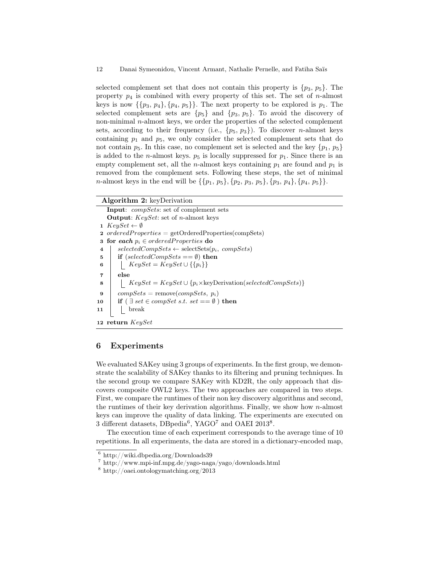selected complement set that does not contain this property is  $\{p_3, p_5\}$ . The property  $p_4$  is combined with every property of this set. The set of *n*-almost keys is now  $\{\{p_3, p_4\}, \{p_4, p_5\}\}\.$  The next property to be explored is  $p_1$ . The selected complement sets are  $\{p_5\}$  and  $\{p_3, p_5\}$ . To avoid the discovery of non-minimal  $n$ -almost keys, we order the properties of the selected complement sets, according to their frequency (i.e.,  $\{p_5, p_3\}$ ). To discover *n*-almost keys containing  $p_1$  and  $p_5$ , we only consider the selected complement sets that do not contain  $p_5$ . In this case, no complement set is selected and the key  $\{p_1, p_5\}$ is added to the *n*-almost keys.  $p_5$  is locally suppressed for  $p_1$ . Since there is an empty complement set, all the *n*-almost keys containing  $p_1$  are found and  $p_1$  is removed from the complement sets. Following these steps, the set of minimal *n*-almost keys in the end will be  $\{\{p_1, p_5\}, \{p_2, p_3, p_5\}, \{p_3, p_4\}, \{p_4, p_5\}\}.$ 

| Algorithm 2: key Derivation |                                                        |  |  |  |  |  |
|-----------------------------|--------------------------------------------------------|--|--|--|--|--|
|                             | <b>Input:</b> <i>compSets</i> : set of complement sets |  |  |  |  |  |

**Output:**  $KeySet:$  set of *n*-almost keys 1  $KeySet \leftarrow \emptyset$ 2 orderedProperties = getOrderedProperties(compSets) 3 for each  $p_i \in ordered Properties$  do 4 selectedCompSets  $\leftarrow$  selectSets $(p_i, compSets)$ 5 | if  $(selfedCompSets == \emptyset)$  then 6 | KeySet = KeySet ∪  $\{p_i\}$ 7 else 8 | KeySet = KeySet ∪ { $p_i \times$ keyDerivation(selectedCompSets)} 9  $compsets = remove(compsets, p<sub>i</sub>)$ 10 if  $(\exists set \in \textit{compSet} s.t. set == \emptyset)$  then  $11$  | break 12 return KeySet

# 6 Experiments

We evaluated SAKey using 3 groups of experiments. In the first group, we demonstrate the scalability of SAKey thanks to its filtering and pruning techniques. In the second group we compare SAKey with KD2R, the only approach that discovers composite OWL2 keys. The two approaches are compared in two steps. First, we compare the runtimes of their non key discovery algorithms and second, the runtimes of their key derivation algorithms. Finally, we show how  $n$ -almost keys can improve the quality of data linking. The experiments are executed on 3 different datasets, DBpedia<sup>6</sup>, YAGO<sup>7</sup> and OAEI 2013<sup>8</sup>.

The execution time of each experiment corresponds to the average time of 10 repetitions. In all experiments, the data are stored in a dictionary-encoded map,

<sup>6</sup> http://wiki.dbpedia.org/Downloads39

<sup>7</sup> http://www.mpi-inf.mpg.de/yago-naga/yago/downloads.html

<sup>8</sup> http://oaei.ontologymatching.org/2013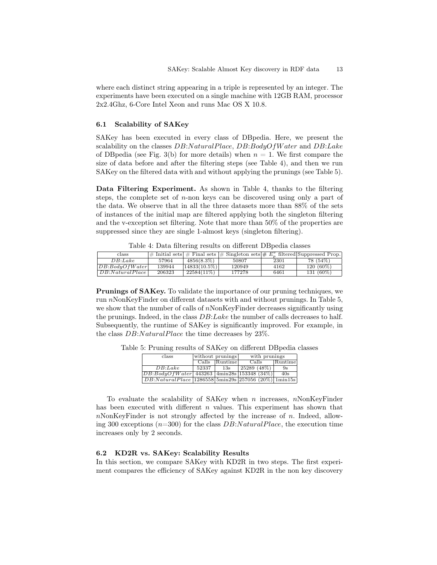where each distinct string appearing in a triple is represented by an integer. The experiments have been executed on a single machine with 12GB RAM, processor 2x2.4Ghz, 6-Core Intel Xeon and runs Mac OS X 10.8.

### 6.1 Scalability of SAKey

SAKey has been executed in every class of DBpedia. Here, we present the scalability on the classes  $DB: Natural Place$ ,  $DB: BodyOfWater$  and  $DB: Lake$ of DBpedia (see Fig. 3(b) for more details) when  $n = 1$ . We first compare the size of data before and after the filtering steps (see Table 4), and then we run SAKey on the filtered data with and without applying the prunings (see Table 5).

Data Filtering Experiment. As shown in Table 4, thanks to the filtering steps, the complete set of  $n$ -non keys can be discovered using only a part of the data. We observe that in all the three datasets more than 88% of the sets of instances of the initial map are filtered applying both the singleton filtering and the v-exception set filtering. Note that more than 50% of the properties are suppressed since they are single 1-almost keys (singleton filtering).

| class             |        |                   |        |      | $\vert \#$ Initial sets $\vert \#$ Final sets $\vert \#$ Singleton sets $\vert \# E_{\nu}^{v}$ filtered Suppressed Prop. |
|-------------------|--------|-------------------|--------|------|--------------------------------------------------------------------------------------------------------------------------|
| DB: Lake          | 57964  | 4856(8.3%)        | 50807  | 2301 | 78 (54%)                                                                                                                 |
| DB:BodyOfWater    | 139944 | $ 14833(10.5\%) $ | 120949 | 4162 | 120 (60%)                                                                                                                |
| DB: Natural Place | 206323 | $22584(11\%)$     | 177278 | 6461 | 131 (60%)                                                                                                                |

Table 4: Data filtering results on different DBpedia classes

Prunings of SAKey. To validate the importance of our pruning techniques, we run  $n$ NonKeyFinder on different datasets with and without prunings. In Table 5, we show that the number of calls of  $n$ NonKeyFinder decreases significantly using the prunings. Indeed, in the class DB:Lake the number of calls decreases to half. Subsequently, the runtime of SAKey is significantly improved. For example, in the class  $DB: Natural Place$  the time decreases by 23%.

Table 5: Pruning results of SAKey on different DBpedia classes

| class                                                                |       | without prunings | with prunings |                         |  |
|----------------------------------------------------------------------|-------|------------------|---------------|-------------------------|--|
|                                                                      |       | Calls Runtime    | Calls         | $\vert$ Runtime $\vert$ |  |
| DB: Lake                                                             | 52337 | 13s              | 125289(48%)   | 9s                      |  |
| $[DB:BodyOfWater]$ 443263   4min28s   153348 (34%)                   |       |                  |               | 40s                     |  |
| $DB: Natural Place \{1286558   5min29s   257056 (20\%)   1min15s \}$ |       |                  |               |                         |  |

To evaluate the scalability of SAKey when  $n$  increases,  $n$ NonKeyFinder has been executed with different  $n$  values. This experiment has shown that  $n$ NonKeyFinder is not strongly affected by the increase of  $n$ . Indeed, allowing 300 exceptions  $(n=300)$  for the class  $DB: Natural Place$ , the execution time increases only by 2 seconds.

#### 6.2 KD2R vs. SAKey: Scalability Results

In this section, we compare SAKey with KD2R in two steps. The first experiment compares the efficiency of SAKey against KD2R in the non key discovery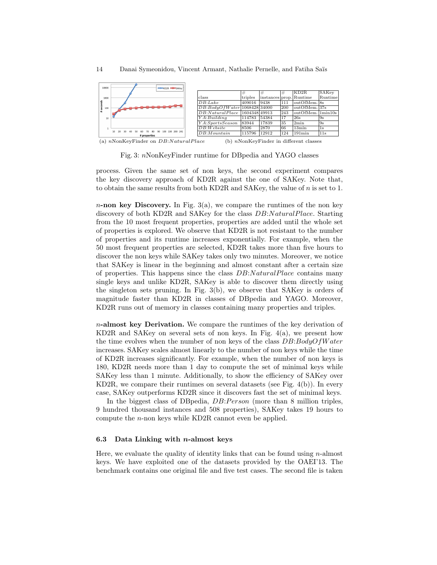

Fig. 3: nNonKeyFinder runtime for DBpedia and YAGO classes

process. Given the same set of non keys, the second experiment compares the key discovery approach of KD2R against the one of SAKey. Note that, to obtain the same results from both KD2R and SAKey, the value of n is set to 1.

 $n$ -non key Discovery. In Fig. 3(a), we compare the runtimes of the non key discovery of both KD2R and SAKey for the class  $DB: Natural Place.$  Starting from the 10 most frequent properties, properties are added until the whole set of properties is explored. We observe that KD2R is not resistant to the number of properties and its runtime increases exponentially. For example, when the 50 most frequent properties are selected, KD2R takes more than five hours to discover the non keys while SAKey takes only two minutes. Moreover, we notice that SAKey is linear in the beginning and almost constant after a certain size of properties. This happens since the class  $DB: Natural Place$  contains many single keys and unlike KD2R, SAKey is able to discover them directly using the singleton sets pruning. In Fig. 3(b), we observe that SAKey is orders of magnitude faster than KD2R in classes of DBpedia and YAGO. Moreover, KD2R runs out of memory in classes containing many properties and triples.

 $n$ -almost key Derivation. We compare the runtimes of the key derivation of KD2R and SAKey on several sets of non keys. In Fig. 4(a), we present how the time evolves when the number of non keys of the class  $DB: BodyOfWater$ increases. SAKey scales almost linearly to the number of non keys while the time of KD2R increases significantly. For example, when the number of non keys is 180, KD2R needs more than 1 day to compute the set of minimal keys while SAKey less than 1 minute. Additionally, to show the efficiency of SAKey over KD2R, we compare their runtimes on several datasets (see Fig. 4(b)). In every case, SAKey outperforms KD2R since it discovers fast the set of minimal keys.

In the biggest class of DB pedia,  $DB: Person$  (more than 8 million triples, 9 hundred thousand instances and 508 properties), SAKey takes 19 hours to compute the n-non keys while KD2R cannot even be applied.

### 6.3 Data Linking with  $n$ -almost keys

Here, we evaluate the quality of identity links that can be found using  $n$ -almost keys. We have exploited one of the datasets provided by the OAEI'13. The benchmark contains one original file and five test cases. The second file is taken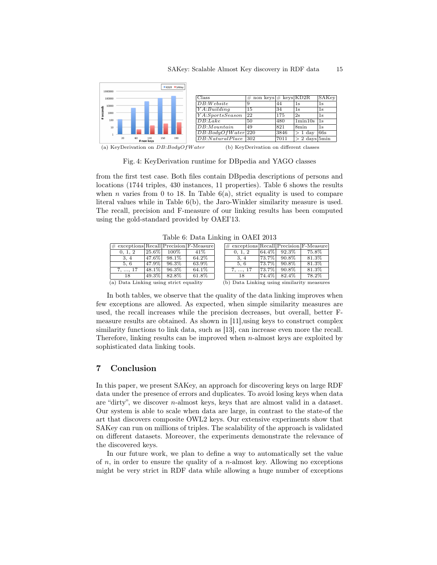

(a) KeyDerivation on  $DB: BodyOfWater$  (b) KeyDerivation on different classes

Fig. 4: KeyDerivation runtime for DBpedia and YAGO classes

from the first test case. Both files contain DBpedia descriptions of persons and locations (1744 triples, 430 instances, 11 properties). Table 6 shows the results when n varies from 0 to 18. In Table  $6(a)$ , strict equality is used to compare literal values while in Table 6(b), the Jaro-Winkler similarity measure is used. The recall, precision and F-measure of our linking results has been computed using the gold-standard provided by OAEI'13.

Table 6: Data Linking in OAEI 2013

| $\#$ exceptions Recall Precision F-Measure |          |          |       | $\#$ exceptions Recall Precision F-Measure |          |          |       |
|--------------------------------------------|----------|----------|-------|--------------------------------------------|----------|----------|-------|
| 0, 1, 2                                    | $25.6\%$ | 100%     | 41%   | 0, 1, 2                                    | $64.4\%$ | $92.3\%$ | 75.8% |
| 3.4                                        | 47.6%    | 98.1%    | 64.2% | 3.4                                        | 73.7%    | $90.8\%$ | 81.3% |
| 5.6                                        | 47.9%    | 96.3%    | 63.9% | 5.6                                        | 73.7%    | 90.8%    | 81.3% |
| $7, \ldots, 17$                            | $48.1\%$ | $96.3\%$ | 64.1% | 7.  17                                     | 73.7%    | 90.8%    | 81.3% |
| 18                                         | $49.3\%$ | 82.8%    | 61.8% | 18                                         | 74.4%    | 82.4%    | 78.2% |
| (a) Data Linking using strict equality     |          |          |       | (b) Data Linking using similarity measures |          |          |       |

In both tables, we observe that the quality of the data linking improves when few exceptions are allowed. As expected, when simple similarity measures are used, the recall increases while the precision decreases, but overall, better Fmeasure results are obtained. As shown in [11],using keys to construct complex similarity functions to link data, such as [13], can increase even more the recall. Therefore, linking results can be improved when n-almost keys are exploited by sophisticated data linking tools.

# 7 Conclusion

In this paper, we present SAKey, an approach for discovering keys on large RDF data under the presence of errors and duplicates. To avoid losing keys when data are "dirty", we discover n-almost keys, keys that are almost valid in a dataset. Our system is able to scale when data are large, in contrast to the state-of the art that discovers composite OWL2 keys. Our extensive experiments show that SAKey can run on millions of triples. The scalability of the approach is validated on different datasets. Moreover, the experiments demonstrate the relevance of the discovered keys.

In our future work, we plan to define a way to automatically set the value of  $n$ , in order to ensure the quality of a  $n$ -almost key. Allowing no exceptions might be very strict in RDF data while allowing a huge number of exceptions